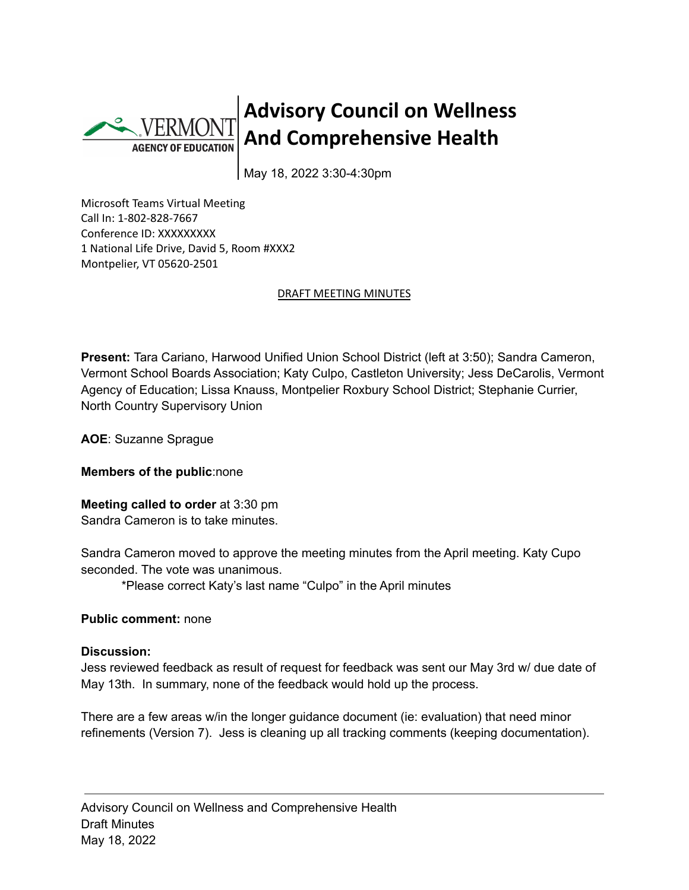

## **Advisory Council on Wellness And Comprehensive Health**

May 18, 2022 3:30-4:30pm

Microsoft Teams Virtual Meeting Call In: 1-802-828-7667 Conference ID: XXXXXXXXX 1 National Life Drive, David 5, Room #XXX2 Montpelier, VT 05620-2501

## DRAFT MEETING MINUTES

**Present:** Tara Cariano, Harwood Unified Union School District (left at 3:50); Sandra Cameron, Vermont School Boards Association; Katy Culpo, Castleton University; Jess DeCarolis, Vermont Agency of Education; Lissa Knauss, Montpelier Roxbury School District; Stephanie Currier, North Country Supervisory Union

**AOE**: Suzanne Sprague

**Members of the public**:none

**Meeting called to order** at 3:30 pm Sandra Cameron is to take minutes.

Sandra Cameron moved to approve the meeting minutes from the April meeting. Katy Cupo seconded. The vote was unanimous.

\*Please correct Katy's last name "Culpo" in the April minutes

## **Public comment:** none

## **Discussion:**

Jess reviewed feedback as result of request for feedback was sent our May 3rd w/ due date of May 13th. In summary, none of the feedback would hold up the process.

There are a few areas w/in the longer guidance document (ie: evaluation) that need minor refinements (Version 7). Jess is cleaning up all tracking comments (keeping documentation).